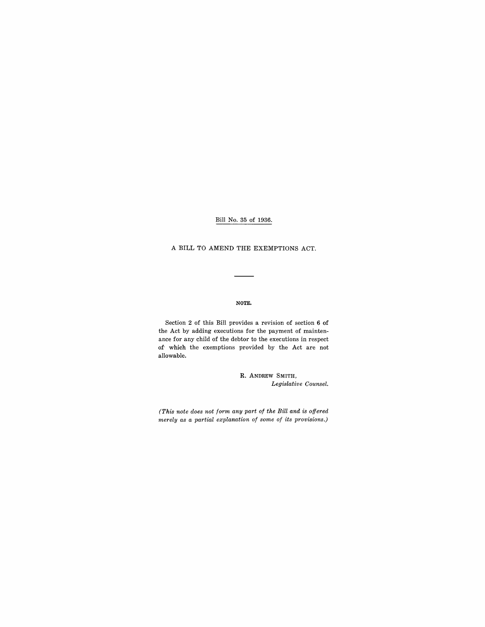Bill No. 35 of 1936.

# A BILL TO AMEND THE EXEMPTIONS ACT.

#### NOTE.

Section 2 of this Bill provides a revision of section 6 of the Act by adding executions for the payment of maintenance for any child of the debtor to the executions in respect of which the exemptions provided by the Act are not allowable.

> R. ANDREW SMITH, *Legislative Counsel.*

*(This note does not form any part of the Bill and is offered merely as a partial explanation of some of its provisions.)*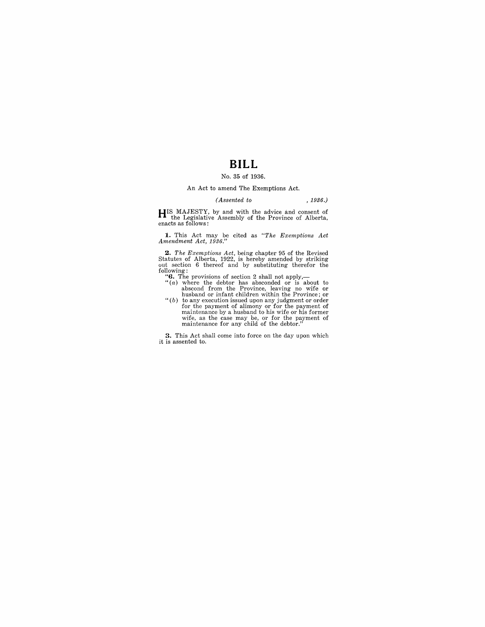# **BILL**

## No. 35 of 1936.

#### An Act to amend The Exemptions Act.

#### *(Assented to* , 1936.)

**HIS** MAJESTY, by and with the advice and consent of the Legislative Assembly of the Province of Alberta, enacts as follows:

**1.** This Act may be cited as *"The Exemptions Act Amendment Act, 1936."* 

**2.** The Exemptions Act, being chapter 95 of the Revised Statutes of Alberta, 1922, is hereby amended by striking out section 6 thereof and by substituting therefor the following:  $\cdot$  (c). The provisions of section 2 sha

- 
- abscond from the Province, leaving no wife or<br>husband or infant children within the Province; or<br>" $(b)$  to any execution issued upon any judgment or order<br>for the payment of alimony or for the payment of<br>maintenance by a h wife, as the case may be, or for the payment of maintenance for any child of the debtor."

**3.** This Act shall come into force on the day upon which it is assented to.